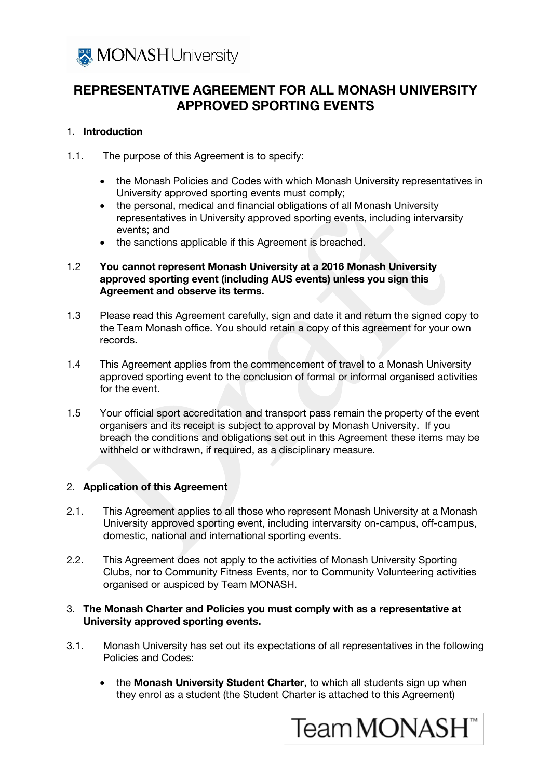

# REPRESENTATIVE AGREEMENT FOR ALL MONASH UNIVERSITY APPROVED SPORTING EVENTS

#### 1. Introduction

- 1.1. The purpose of this Agreement is to specify:
	- the Monash Policies and Codes with which Monash University representatives in University approved sporting events must comply;
	- the personal, medical and financial obligations of all Monash University representatives in University approved sporting events, including intervarsity events; and
	- the sanctions applicable if this Agreement is breached.

#### 1.2 You cannot represent Monash University at a 2016 Monash University approved sporting event (including AUS events) unless you sign this Agreement and observe its terms.

- 1.3 Please read this Agreement carefully, sign and date it and return the signed copy to the Team Monash office. You should retain a copy of this agreement for your own records.
- 1.4 This Agreement applies from the commencement of travel to a Monash University approved sporting event to the conclusion of formal or informal organised activities for the event.
- 1.5 Your official sport accreditation and transport pass remain the property of the event organisers and its receipt is subject to approval by Monash University. If you breach the conditions and obligations set out in this Agreement these items may be withheld or withdrawn, if required, as a disciplinary measure.

## 2. Application of this Agreement

- 2.1. This Agreement applies to all those who represent Monash University at a Monash University approved sporting event, including intervarsity on-campus, off-campus, domestic, national and international sporting events.
- 2.2. This Agreement does not apply to the activities of Monash University Sporting Clubs, nor to Community Fitness Events, nor to Community Volunteering activities organised or auspiced by Team MONASH.

#### 3. The Monash Charter and Policies you must comply with as a representative at University approved sporting events.

- 3.1. Monash University has set out its expectations of all representatives in the following Policies and Codes:
	- the Monash University Student Charter, to which all students sign up when they enrol as a student (the Student Charter is attached to this Agreement)

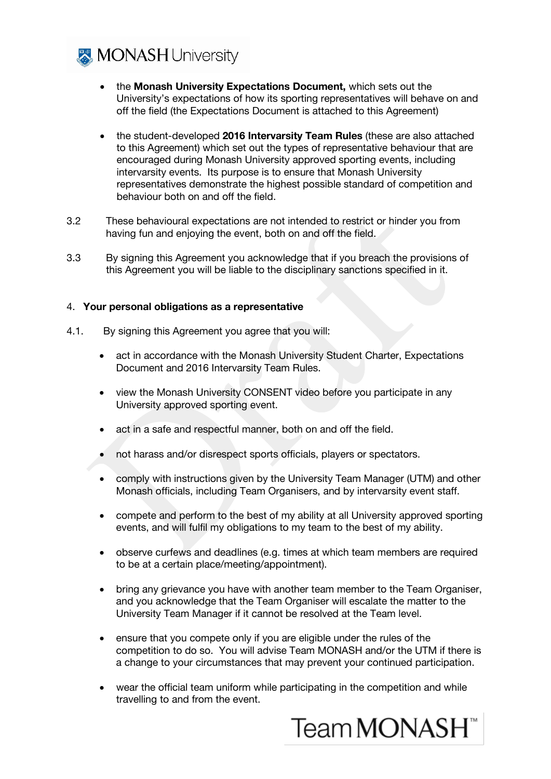**X** MONASH University

- the Monash University Expectations Document, which sets out the University's expectations of how its sporting representatives will behave on and off the field (the Expectations Document is attached to this Agreement)
- the student-developed 2016 Intervarsity Team Rules (these are also attached to this Agreement) which set out the types of representative behaviour that are encouraged during Monash University approved sporting events, including intervarsity events. Its purpose is to ensure that Monash University representatives demonstrate the highest possible standard of competition and behaviour both on and off the field.
- 3.2 These behavioural expectations are not intended to restrict or hinder you from having fun and enjoying the event, both on and off the field.
- 3.3 By signing this Agreement you acknowledge that if you breach the provisions of this Agreement you will be liable to the disciplinary sanctions specified in it.

### 4. Your personal obligations as a representative

- 4.1. By signing this Agreement you agree that you will:
	- act in accordance with the Monash University Student Charter, Expectations Document and 2016 Intervarsity Team Rules.
	- view the Monash University CONSENT video before you participate in any University approved sporting event.
	- act in a safe and respectful manner, both on and off the field.
	- not harass and/or disrespect sports officials, players or spectators.
	- comply with instructions given by the University Team Manager (UTM) and other Monash officials, including Team Organisers, and by intervarsity event staff.
	- compete and perform to the best of my ability at all University approved sporting events, and will fulfil my obligations to my team to the best of my ability.
	- observe curfews and deadlines (e.g. times at which team members are required to be at a certain place/meeting/appointment).
	- bring any grievance you have with another team member to the Team Organiser, and you acknowledge that the Team Organiser will escalate the matter to the University Team Manager if it cannot be resolved at the Team level.
	- ensure that you compete only if you are eligible under the rules of the competition to do so. You will advise Team MONASH and/or the UTM if there is a change to your circumstances that may prevent your continued participation.
	- wear the official team uniform while participating in the competition and while travelling to and from the event.

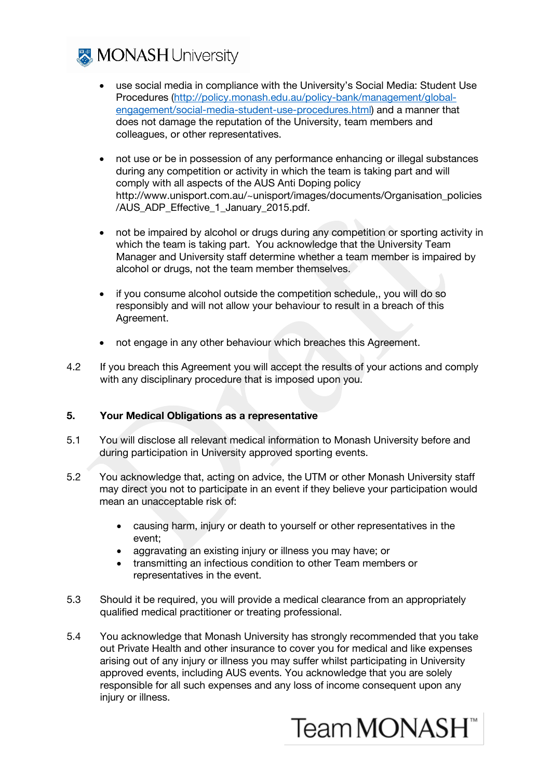

- use social media in compliance with the University's Social Media: Student Use Procedures [\(http://policy.monash.edu.au/policy-bank/management/global](http://policy.monash.edu.au/policy-bank/management/global-engagement/social-media-student-use-procedures.html)[engagement/social-media-student-use-procedures.html\)](http://policy.monash.edu.au/policy-bank/management/global-engagement/social-media-student-use-procedures.html) and a manner that does not damage the reputation of the University, team members and colleagues, or other representatives.
- not use or be in possession of any performance enhancing or illegal substances during any competition or activity in which the team is taking part and will comply with all aspects of the AUS Anti Doping policy http://www.unisport.com.au/~unisport/images/documents/Organisation\_policies /AUS ADP Effective 1 January 2015.pdf.
- not be impaired by alcohol or drugs during any competition or sporting activity in which the team is taking part. You acknowledge that the University Team Manager and University staff determine whether a team member is impaired by alcohol or drugs, not the team member themselves.
- if you consume alcohol outside the competition schedule,, you will do so responsibly and will not allow your behaviour to result in a breach of this Agreement.
- not engage in any other behaviour which breaches this Agreement.
- 4.2 If you breach this Agreement you will accept the results of your actions and comply with any disciplinary procedure that is imposed upon you.

#### 5. Your Medical Obligations as a representative

- 5.1 You will disclose all relevant medical information to Monash University before and during participation in University approved sporting events.
- 5.2 You acknowledge that, acting on advice, the UTM or other Monash University staff may direct you not to participate in an event if they believe your participation would mean an unacceptable risk of:
	- causing harm, injury or death to yourself or other representatives in the event;
	- aggravating an existing injury or illness you may have; or
	- transmitting an infectious condition to other Team members or representatives in the event.
- 5.3 Should it be required, you will provide a medical clearance from an appropriately qualified medical practitioner or treating professional.
- 5.4 You acknowledge that Monash University has strongly recommended that you take out Private Health and other insurance to cover you for medical and like expenses arising out of any injury or illness you may suffer whilst participating in University approved events, including AUS events. You acknowledge that you are solely responsible for all such expenses and any loss of income consequent upon any injury or illness.

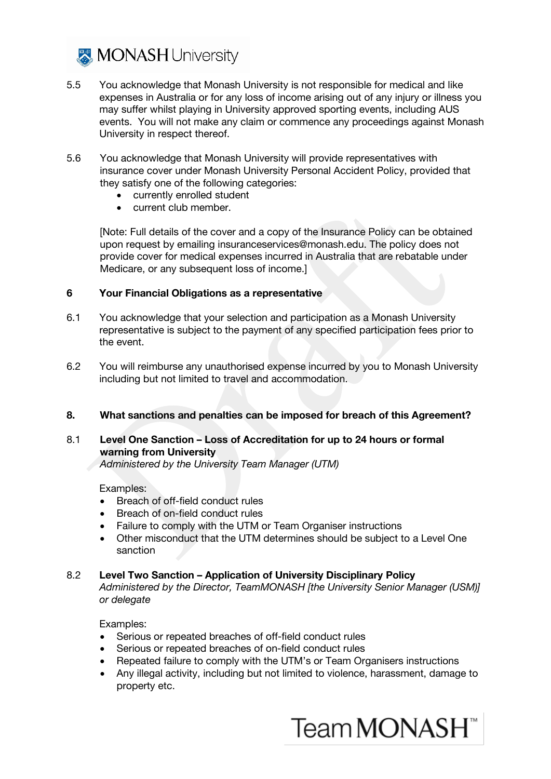

- 5.5 You acknowledge that Monash University is not responsible for medical and like expenses in Australia or for any loss of income arising out of any injury or illness you may suffer whilst playing in University approved sporting events, including AUS events. You will not make any claim or commence any proceedings against Monash University in respect thereof.
- 5.6 You acknowledge that Monash University will provide representatives with insurance cover under Monash University Personal Accident Policy, provided that they satisfy one of the following categories:
	- currently enrolled student
	- current club member.

[Note: Full details of the cover and a copy of the Insurance Policy can be obtained upon request by emailing insuranceservices@monash.edu. The policy does not provide cover for medical expenses incurred in Australia that are rebatable under Medicare, or any subsequent loss of income.]

#### 6 Your Financial Obligations as a representative

- 6.1 You acknowledge that your selection and participation as a Monash University representative is subject to the payment of any specified participation fees prior to the event.
- 6.2 You will reimburse any unauthorised expense incurred by you to Monash University including but not limited to travel and accommodation.

#### 8. What sanctions and penalties can be imposed for breach of this Agreement?

### 8.1 Level One Sanction – Loss of Accreditation for up to 24 hours or formal warning from University

Administered by the University Team Manager (UTM)

Examples:

- Breach of off-field conduct rules
- Breach of on-field conduct rules
- Failure to comply with the UTM or Team Organiser instructions
- Other misconduct that the UTM determines should be subject to a Level One sanction

#### 8.2 Level Two Sanction – Application of University Disciplinary Policy

Administered by the Director, TeamMONASH [the University Senior Manager (USM)] or delegate

Examples:

- Serious or repeated breaches of off-field conduct rules
- Serious or repeated breaches of on-field conduct rules
- Repeated failure to comply with the UTM's or Team Organisers instructions
- Any illegal activity, including but not limited to violence, harassment, damage to property etc.

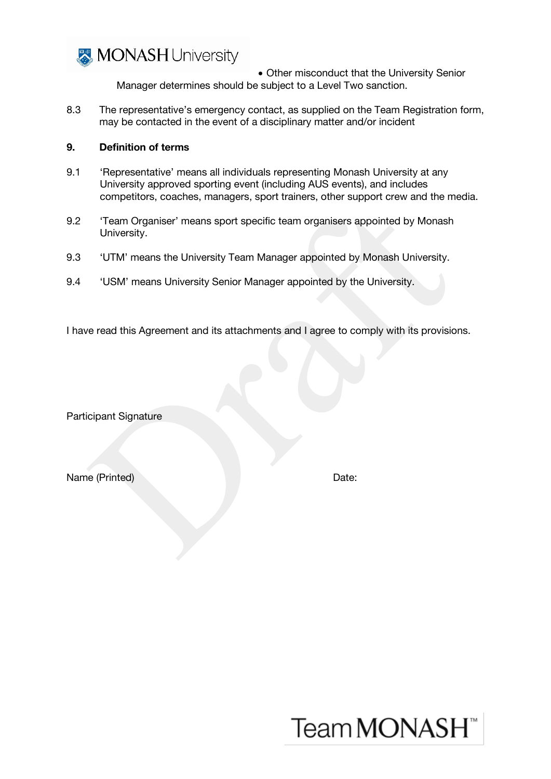

• Other misconduct that the University Senior Manager determines should be subject to a Level Two sanction.

8.3 The representative's emergency contact, as supplied on the Team Registration form, may be contacted in the event of a disciplinary matter and/or incident

#### 9. Definition of terms

- 9.1 'Representative' means all individuals representing Monash University at any University approved sporting event (including AUS events), and includes competitors, coaches, managers, sport trainers, other support crew and the media.
- 9.2 'Team Organiser' means sport specific team organisers appointed by Monash University.
- 9.3 **'UTM'** means the University Team Manager appointed by Monash University.
- 9.4 'USM' means University Senior Manager appointed by the University.

I have read this Agreement and its attachments and I agree to comply with its provisions.

Participant Signature

Name (Printed) **Date:** Date:

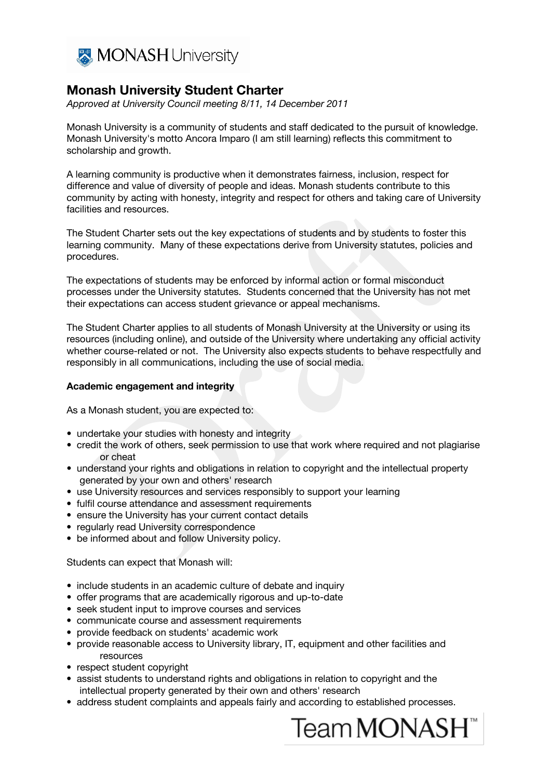

# Monash University Student Charter

Approved at University Council meeting 8/11, 14 December 2011

Monash University is a community of students and staff dedicated to the pursuit of knowledge. Monash University's motto Ancora Imparo (I am still learning) reflects this commitment to scholarship and growth.

A learning community is productive when it demonstrates fairness, inclusion, respect for difference and value of diversity of people and ideas. Monash students contribute to this community by acting with honesty, integrity and respect for others and taking care of University facilities and resources.

The Student Charter sets out the key expectations of students and by students to foster this learning community. Many of these expectations derive from University statutes, policies and procedures.

The expectations of students may be enforced by informal action or formal misconduct processes under the University statutes. Students concerned that the University has not met their expectations can access student grievance or appeal mechanisms.

The Student Charter applies to all students of Monash University at the University or using its resources (including online), and outside of the University where undertaking any official activity whether course-related or not. The University also expects students to behave respectfully and responsibly in all communications, including the use of social media.

#### Academic engagement and integrity

As a Monash student, you are expected to:

- undertake your studies with honesty and integrity
- credit the work of others, seek permission to use that work where required and not plagiarise or cheat
- understand your rights and obligations in relation to copyright and the intellectual property generated by your own and others' research
- use University resources and services responsibly to support your learning
- fulfil course attendance and assessment requirements
- ensure the University has your current contact details
- regularly read University correspondence
- be informed about and follow University policy.

Students can expect that Monash will:

- include students in an academic culture of debate and inquiry
- offer programs that are academically rigorous and up-to-date
- seek student input to improve courses and services
- communicate course and assessment requirements
- provide feedback on students' academic work
- provide reasonable access to University library, IT, equipment and other facilities and resources
- respect student copyright
- assist students to understand rights and obligations in relation to copyright and the intellectual property generated by their own and others' research
- address student complaints and appeals fairly and according to established processes.

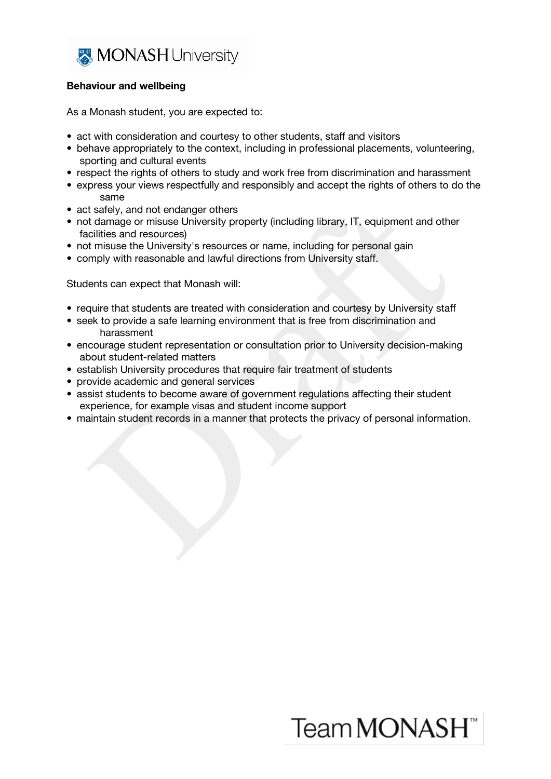

#### Behaviour and wellbeing

As a Monash student, you are expected to:

- act with consideration and courtesy to other students, staff and visitors
- behave appropriately to the context, including in professional placements, volunteering, sporting and cultural events
- respect the rights of others to study and work free from discrimination and harassment
- express your views respectfully and responsibly and accept the rights of others to do the same
- act safely, and not endanger others
- not damage or misuse University property (including library, IT, equipment and other facilities and resources)
- not misuse the University's resources or name, including for personal gain
- comply with reasonable and lawful directions from University staff.

Students can expect that Monash will:

- require that students are treated with consideration and courtesy by University staff
- seek to provide a safe learning environment that is free from discrimination and harassment
- encourage student representation or consultation prior to University decision-making about student-related matters
- establish University procedures that require fair treatment of students
- provide academic and general services
- assist students to become aware of government regulations affecting their student experience, for example visas and student income support
- maintain student records in a manner that protects the privacy of personal information.

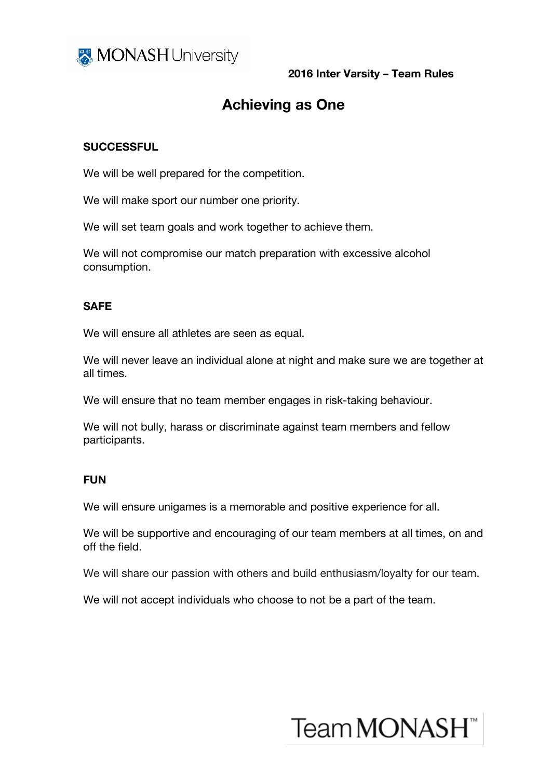

2016 Inter Varsity – Team Rules

# Achieving as One

## **SUCCESSFUL**

We will be well prepared for the competition.

We will make sport our number one priority.

We will set team goals and work together to achieve them.

We will not compromise our match preparation with excessive alcohol consumption.

### SAFE

We will ensure all athletes are seen as equal.

We will never leave an individual alone at night and make sure we are together at all times.

We will ensure that no team member engages in risk-taking behaviour.

We will not bully, harass or discriminate against team members and fellow participants.

## **FUN**

We will ensure unigames is a memorable and positive experience for all.

We will be supportive and encouraging of our team members at all times, on and off the field.

We will share our passion with others and build enthusiasm/loyalty for our team.

We will not accept individuals who choose to not be a part of the team.